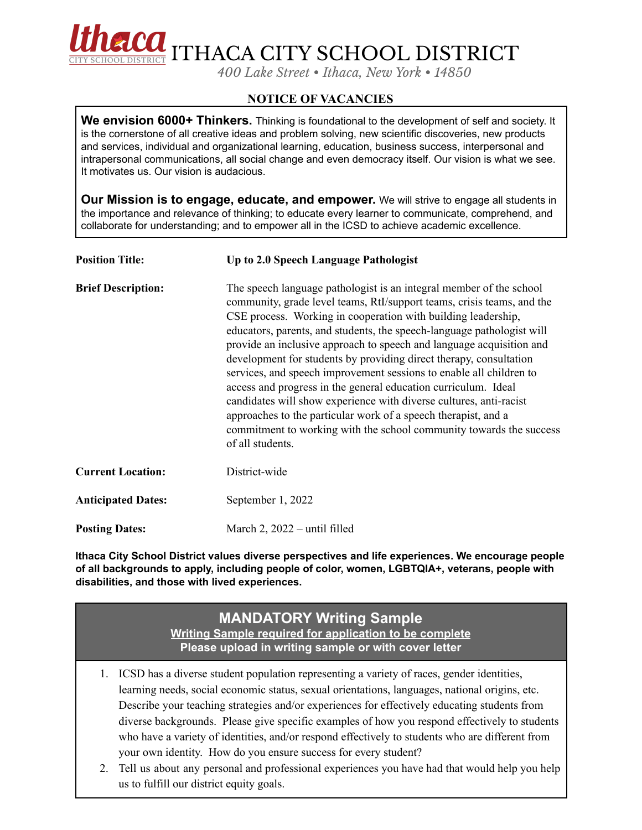

**FLOOL** ITHACA CITY SCHOOL DISTRICT

*400 Lake Street • Ithaca, New York • 14850*

## **NOTICE OF VACANCIES**

**We envision 6000+ Thinkers.** Thinking is foundational to the development of self and society. It is the cornerstone of all creative ideas and problem solving, new scientific discoveries, new products and services, individual and organizational learning, education, business success, interpersonal and intrapersonal communications, all social change and even democracy itself. Our vision is what we see. It motivates us. Our vision is audacious.

**Our Mission is to engage, educate, and empower.** We will strive to engage all students in the importance and relevance of thinking; to educate every learner to communicate, comprehend, and collaborate for understanding; and to empower all in the ICSD to achieve academic excellence.

| <b>Position Title:</b>    | Up to 2.0 Speech Language Pathologist                                                                                                                                                                                                                                                                                                                                                                                                                                                                                                                                                                                                                                                                                                                                                                              |
|---------------------------|--------------------------------------------------------------------------------------------------------------------------------------------------------------------------------------------------------------------------------------------------------------------------------------------------------------------------------------------------------------------------------------------------------------------------------------------------------------------------------------------------------------------------------------------------------------------------------------------------------------------------------------------------------------------------------------------------------------------------------------------------------------------------------------------------------------------|
| <b>Brief Description:</b> | The speech language pathologist is an integral member of the school<br>community, grade level teams, RtI/support teams, crisis teams, and the<br>CSE process. Working in cooperation with building leadership,<br>educators, parents, and students, the speech-language pathologist will<br>provide an inclusive approach to speech and language acquisition and<br>development for students by providing direct therapy, consultation<br>services, and speech improvement sessions to enable all children to<br>access and progress in the general education curriculum. Ideal<br>candidates will show experience with diverse cultures, anti-racist<br>approaches to the particular work of a speech therapist, and a<br>commitment to working with the school community towards the success<br>of all students. |
| <b>Current Location:</b>  | District-wide                                                                                                                                                                                                                                                                                                                                                                                                                                                                                                                                                                                                                                                                                                                                                                                                      |
| <b>Anticipated Dates:</b> | September 1, 2022                                                                                                                                                                                                                                                                                                                                                                                                                                                                                                                                                                                                                                                                                                                                                                                                  |
| <b>Posting Dates:</b>     | March 2, 2022 – until filled                                                                                                                                                                                                                                                                                                                                                                                                                                                                                                                                                                                                                                                                                                                                                                                       |

**Ithaca City School District values diverse perspectives and life experiences. We encourage people of all backgrounds to apply, including people of color, women, LGBTQIA+, veterans, people with disabilities, and those with lived experiences.**

## **MANDATORY Writing Sample Writing Sample required for application to be complete Please upload in writing sample or with cover letter**

- 1. ICSD has a diverse student population representing a variety of races, gender identities, learning needs, social economic status, sexual orientations, languages, national origins, etc. Describe your teaching strategies and/or experiences for effectively educating students from diverse backgrounds. Please give specific examples of how you respond effectively to students who have a variety of identities, and/or respond effectively to students who are different from your own identity. How do you ensure success for every student?
- 2. Tell us about any personal and professional experiences you have had that would help you help us to fulfill our district equity goals.